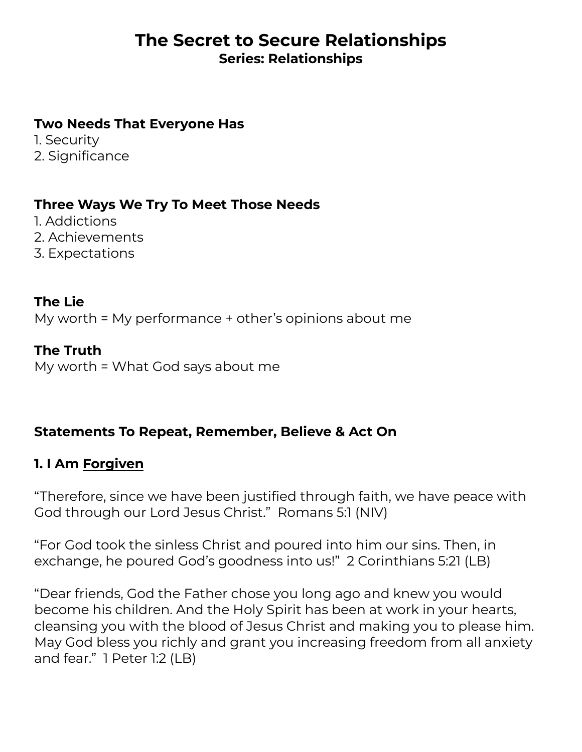# **The Secret to Secure Relationships Series: Relationships**

#### **Two Needs That Everyone Has**

1. Security 2. Significance

#### **Three Ways We Try To Meet Those Needs**

1. Addictions 2. Achievements 3. Expectations

**The Lie** My worth = My performance + other's opinions about me

**The Truth** My worth = What God says about me

### **Statements To Repeat, Remember, Believe & Act On**

### **1. I Am Forgiven**

"Therefore, since we have been justified through faith, we have peace with God through our Lord Jesus Christ." Romans 5:1 (NIV)

"For God took the sinless Christ and poured into him our sins. Then, in exchange, he poured God's goodness into us!" 2 Corinthians 5:21 (LB)

"Dear friends, God the Father chose you long ago and knew you would become his children. And the Holy Spirit has been at work in your hearts, cleansing you with the blood of Jesus Christ and making you to please him. May God bless you richly and grant you increasing freedom from all anxiety and fear." 1 Peter 1:2 (LB)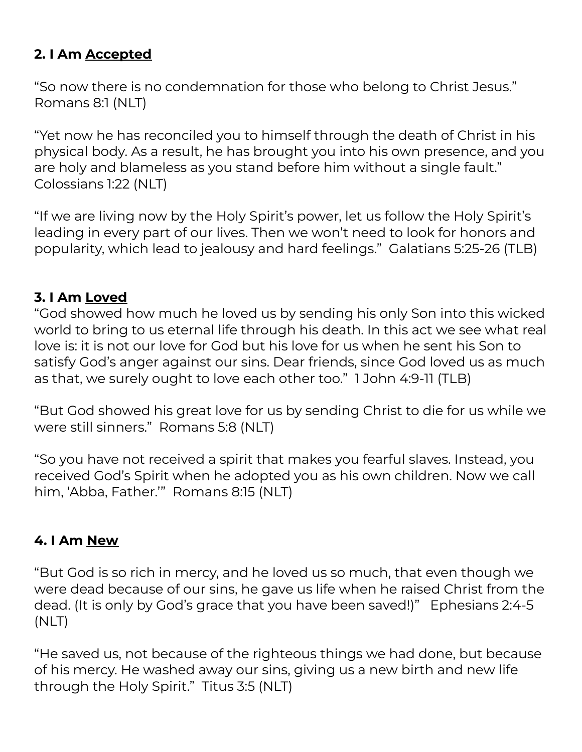# **2. I Am Accepted**

"So now there is no condemnation for those who belong to Christ Jesus." Romans 8:1 (NLT)

"Yet now he has reconciled you to himself through the death of Christ in his physical body. As a result, he has brought you into his own presence, and you are holy and blameless as you stand before him without a single fault." Colossians 1:22 (NLT)

"If we are living now by the Holy Spirit's power, let us follow the Holy Spirit's leading in every part of our lives. Then we won't need to look for honors and popularity, which lead to jealousy and hard feelings." Galatians 5:25-26 (TLB)

# **3. I Am Loved**

"God showed how much he loved us by sending his only Son into this wicked world to bring to us eternal life through his death. In this act we see what real love is: it is not our love for God but his love for us when he sent his Son to satisfy God's anger against our sins. Dear friends, since God loved us as much as that, we surely ought to love each other too." 1 John 4:9-11 (TLB)

"But God showed his great love for us by sending Christ to die for us while we were still sinners." Romans 5:8 (NLT)

"So you have not received a spirit that makes you fearful slaves. Instead, you received God's Spirit when he adopted you as his own children. Now we call him, 'Abba, Father.'" Romans 8:15 (NLT)

### **4. I Am New**

"But God is so rich in mercy, and he loved us so much, that even though we were dead because of our sins, he gave us life when he raised Christ from the dead. (It is only by God's grace that you have been saved!)" Ephesians 2:4-5 (NLT)

"He saved us, not because of the righteous things we had done, but because of his mercy. He washed away our sins, giving us a new birth and new life through the Holy Spirit." Titus 3:5 (NLT)